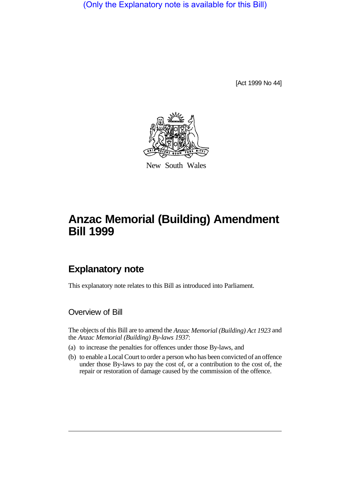(Only the Explanatory note is available for this Bill)

[Act 1999 No 44]



New South Wales

# **Anzac Memorial (Building) Amendment Bill 1999**

## **Explanatory note**

This explanatory note relates to this Bill as introduced into Parliament.

Overview of Bill

The objects of this Bill are to amend the *Anzac Memorial (Building) Act 1923* and the *Anzac Memorial (Building) By-laws 1937*:

- (a) to increase the penalties for offences under those By-laws, and
- (b) to enable a Local Court to order a person who has been convicted of an offence under those By-laws to pay the cost of, or a contribution to the cost of, the repair or restoration of damage caused by the commission of the offence.